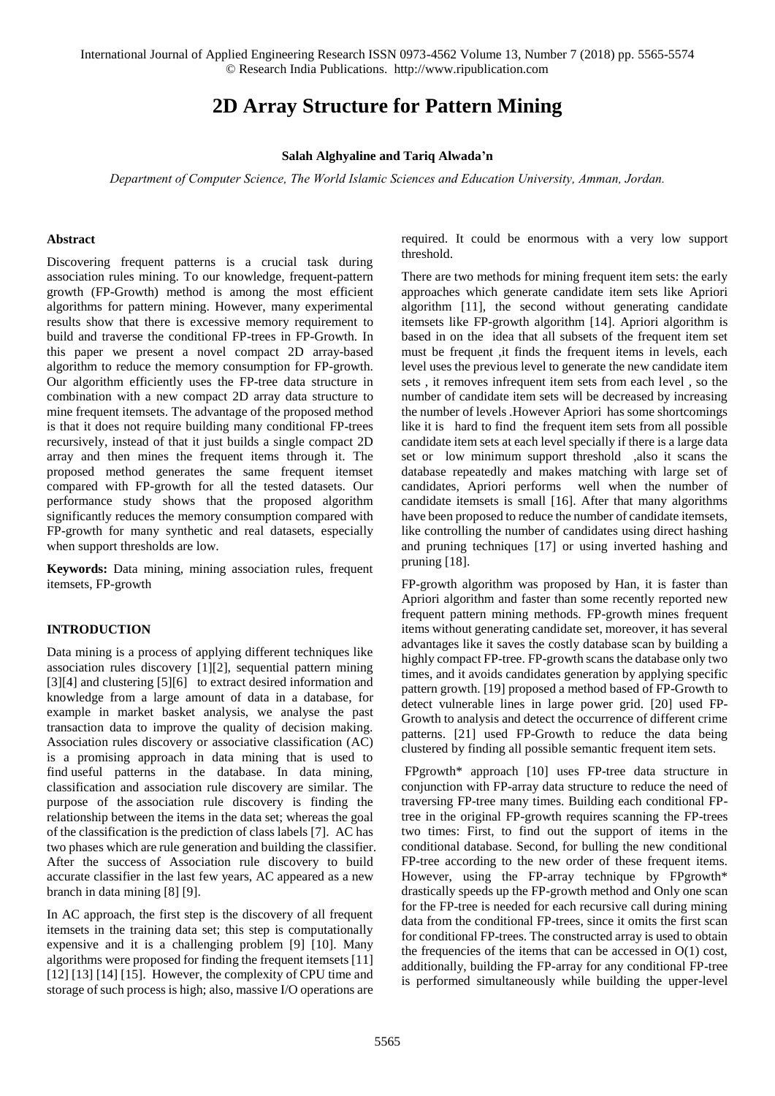International Journal of Applied Engineering Research ISSN 0973-4562 Volume 13, Number 7 (2018) pp. 5565-5574 © Research India Publications. http://www.ripublication.com

# **[2D Array Structure for Pattern Mining](http://ieeexplore.ieee.org/abstract/document/1184038/)**

#### **Salah Alghyaline and Tariq Alwada'n**

*Department of Computer Science, The World Islamic Sciences and Education University, Amman, Jordan.* 

#### **Abstract**

Discovering frequent patterns is a crucial task during association rules mining. To our knowledge, frequent-pattern growth (FP-Growth) method is among the most efficient algorithms for pattern mining. However, many experimental results show that there is excessive memory requirement to build and traverse the conditional FP-trees in FP-Growth. In this paper we present a novel compact 2D array-based algorithm to reduce the memory consumption for FP-growth. Our algorithm efficiently uses the FP-tree data structure in combination with a new compact 2D array data structure to mine frequent itemsets. The advantage of the proposed method is that it does not require building many conditional FP-trees recursively, instead of that it just builds a single compact 2D array and then mines the frequent items through it. The proposed method generates the same frequent itemset compared with FP-growth for all the tested datasets. Our performance study shows that the proposed algorithm significantly reduces the memory consumption compared with FP-growth for many synthetic and real datasets, especially when support thresholds are low.

**Keywords:** Data mining, mining association rules, frequent itemsets, FP-growth

#### **INTRODUCTION**

Data mining is a process of applying different techniques like association rules discovery [1][2], sequential pattern mining [3][4] and clustering [5][6] to extract desired information and knowledge from a large amount of data in a database, for example in market basket analysis, we analyse the past transaction data to improve the quality of decision making. Association rules discovery or associative classification (AC) is a promising approach in data mining that is used to find useful patterns in the database. In data mining, classification and association rule discovery are similar. The purpose of the association rule discovery is finding the relationship between the items in the data set; whereas the goal of the classification is the prediction of class labels [7]. AC has two phases which are rule generation and building the classifier. After the success of Association rule discovery to build accurate classifier in the last few years, AC appeared as a new branch in data mining [8] [9].

In AC approach, the first step is the discovery of all frequent itemsets in the training data set; this step is computationally expensive and it is a challenging problem [9] [10]. Many algorithms were proposed for finding the frequent itemsets [11] [12] [13] [14] [15]. However, the complexity of CPU time and storage of such process is high; also, massive I/O operations are required. It could be enormous with a very low support threshold.

There are two methods for mining frequent item sets: the early approaches which generate candidate item sets like Apriori algorithm [11], the second without generating candidate itemsets like FP-growth algorithm [14]. Apriori algorithm is based in on the idea that all subsets of the frequent item set must be frequent ,it finds the frequent items in levels, each level uses the previous level to generate the new candidate item sets , it removes infrequent item sets from each level , so the number of candidate item sets will be decreased by increasing the number of levels .However Apriori has some shortcomings like it is hard to find the frequent item sets from all possible candidate item sets at each level specially if there is a large data set or low minimum support threshold ,also it scans the database repeatedly and makes matching with large set of candidates, Apriori performs well when the number of candidate itemsets is small [16]. After that many algorithms have been proposed to reduce the number of candidate itemsets, like controlling the number of candidates using direct hashing and pruning techniques [17] or using inverted hashing and pruning [18].

FP-growth algorithm was proposed by Han, it is faster than Apriori algorithm and faster than some recently reported new frequent pattern mining methods. FP-growth mines frequent items without generating candidate set, moreover, it has several advantages like it saves the costly database scan by building a highly compact FP-tree. FP-growth scans the database only two times, and it avoids candidates generation by applying specific pattern growth. [19] proposed a method based of FP-Growth to detect vulnerable lines in large power grid. [20] used FP-Growth to analysis and detect the occurrence of different crime patterns. [21] used FP-Growth to reduce the data being clustered by finding all possible semantic frequent item sets.

 FPgrowth\* approach [10] uses FP-tree data structure in conjunction with FP-array data structure to reduce the need of traversing FP-tree many times. Building each conditional FPtree in the original FP-growth requires scanning the FP-trees two times: First, to find out the support of items in the conditional database. Second, for bulling the new conditional FP-tree according to the new order of these frequent items. However, using the FP-array technique by FPgrowth\* drastically speeds up the FP-growth method and Only one scan for the FP-tree is needed for each recursive call during mining data from the conditional FP-trees, since it omits the first scan for conditional FP-trees. The constructed array is used to obtain the frequencies of the items that can be accessed in  $O(1)$  cost, additionally, building the FP-array for any conditional FP-tree is performed simultaneously while building the upper-level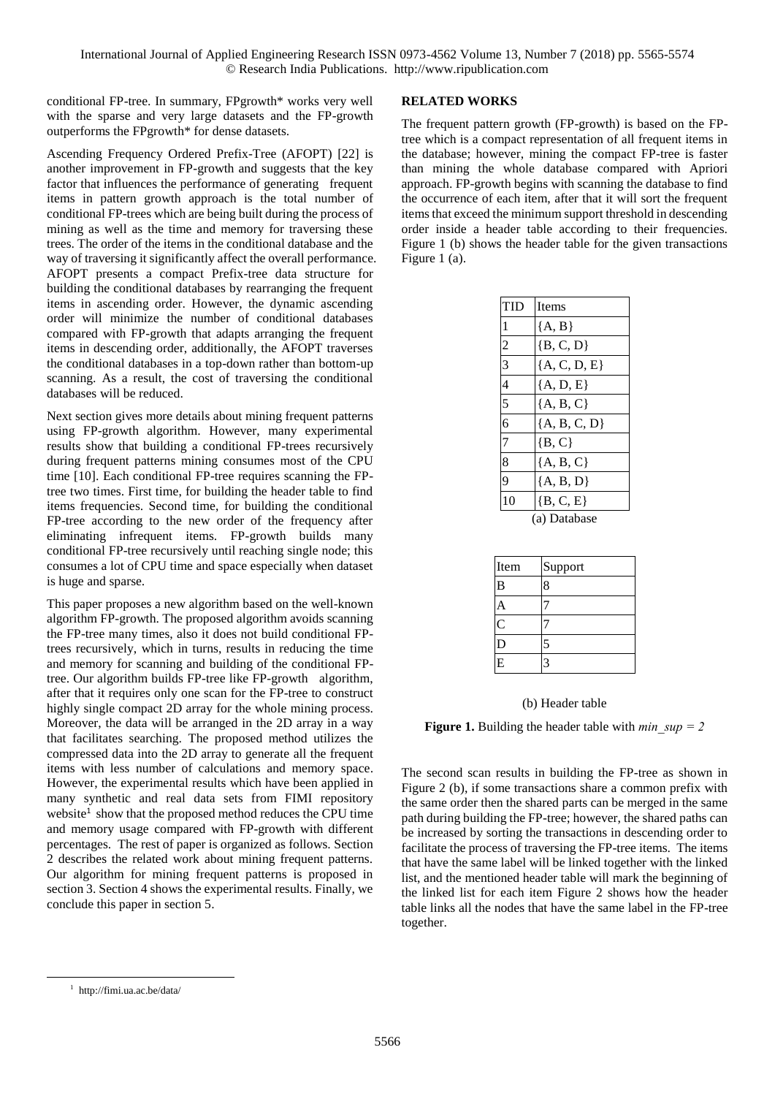conditional FP-tree. In summary, FPgrowth\* works very well with the sparse and very large datasets and the FP-growth outperforms the FPgrowth\* for dense datasets.

Ascending Frequency Ordered Prefix-Tree (AFOPT) [22] is another improvement in FP-growth and suggests that the key factor that influences the performance of generating frequent items in pattern growth approach is the total number of conditional FP-trees which are being built during the process of mining as well as the time and memory for traversing these trees. The order of the items in the conditional database and the way of traversing it significantly affect the overall performance. AFOPT presents a compact Prefix-tree data structure for building the conditional databases by rearranging the frequent items in ascending order. However, the dynamic ascending order will minimize the number of conditional databases compared with FP-growth that adapts arranging the frequent items in descending order, additionally, the AFOPT traverses the conditional databases in a top-down rather than bottom-up scanning. As a result, the cost of traversing the conditional databases will be reduced.

Next section gives more details about mining frequent patterns using FP-growth algorithm. However, many experimental results show that building a conditional FP-trees recursively during frequent patterns mining consumes most of the CPU time [10]. Each conditional FP-tree requires scanning the FPtree two times. First time, for building the header table to find items frequencies. Second time, for building the conditional FP-tree according to the new order of the frequency after eliminating infrequent items. FP-growth builds many conditional FP-tree recursively until reaching single node; this consumes a lot of CPU time and space especially when dataset is huge and sparse.

This paper proposes a new algorithm based on the well-known algorithm FP-growth. The proposed algorithm avoids scanning the FP-tree many times, also it does not build conditional FPtrees recursively, which in turns, results in reducing the time and memory for scanning and building of the conditional FPtree. Our algorithm builds FP-tree like FP-growth algorithm, after that it requires only one scan for the FP-tree to construct highly single compact 2D array for the whole mining process. Moreover, the data will be arranged in the 2D array in a way that facilitates searching. The proposed method utilizes the compressed data into the 2D array to generate all the frequent items with less number of calculations and memory space. However, the experimental results which have been applied in many synthetic and real data sets from FIMI repository website<sup>1</sup> show that the proposed method reduces the CPU time and memory usage compared with FP-growth with different percentages. The rest of paper is organized as follows. Section 2 describes the related work about mining frequent patterns. Our algorithm for mining frequent patterns is proposed in section 3. Section 4 shows the experimental results. Finally, we conclude this paper in section 5.

# **RELATED WORKS**

The frequent pattern growth (FP-growth) is based on the FPtree which is a compact representation of all frequent items in the database; however, mining the compact FP-tree is faster than mining the whole database compared with Apriori approach. FP-growth begins with scanning the database to find the occurrence of each item, after that it will sort the frequent items that exceed the minimum support threshold in descending order inside a header table according to their frequencies. Figure 1 (b) shows the header table for the given transactions Figure 1 (a).

| TID            | Items          |  |  |  |
|----------------|----------------|--|--|--|
| 1              | ${A, B}$       |  |  |  |
| $\overline{c}$ | $\{B, C, D\}$  |  |  |  |
| $\overline{3}$ | ${A, C, D, E}$ |  |  |  |
| $\overline{4}$ | ${A, D, E}$    |  |  |  |
| $\overline{5}$ | ${A, B, C}$    |  |  |  |
| 6              | ${A, B, C, D}$ |  |  |  |
| 7              | $\{B, C\}$     |  |  |  |
| $\overline{8}$ | ${A, B, C}$    |  |  |  |
| $\overline{9}$ | ${A, B, D}$    |  |  |  |
| 10             | $\{B, C, E\}$  |  |  |  |
| (a) Database   |                |  |  |  |

| Item         | Support                 |
|--------------|-------------------------|
| B            | 8                       |
| А            |                         |
| $\mathsf{C}$ |                         |
| D            | 5                       |
| E            | $\overline{\mathbf{z}}$ |

#### (b) Header table

**Figure 1.** Building the header table with *min\_sup = 2* 

The second scan results in building the FP-tree as shown in Figure 2 (b), if some transactions share a common prefix with the same order then the shared parts can be merged in the same path during building the FP-tree; however, the shared paths can be increased by sorting the transactions in descending order to facilitate the process of traversing the FP-tree items. The items that have the same label will be linked together with the linked list, and the mentioned header table will mark the beginning of the linked list for each item Figure 2 shows how the header table links all the nodes that have the same label in the FP-tree together.

 $\overline{\phantom{a}}$ 

<sup>1</sup> http://fimi.ua.ac.be/data/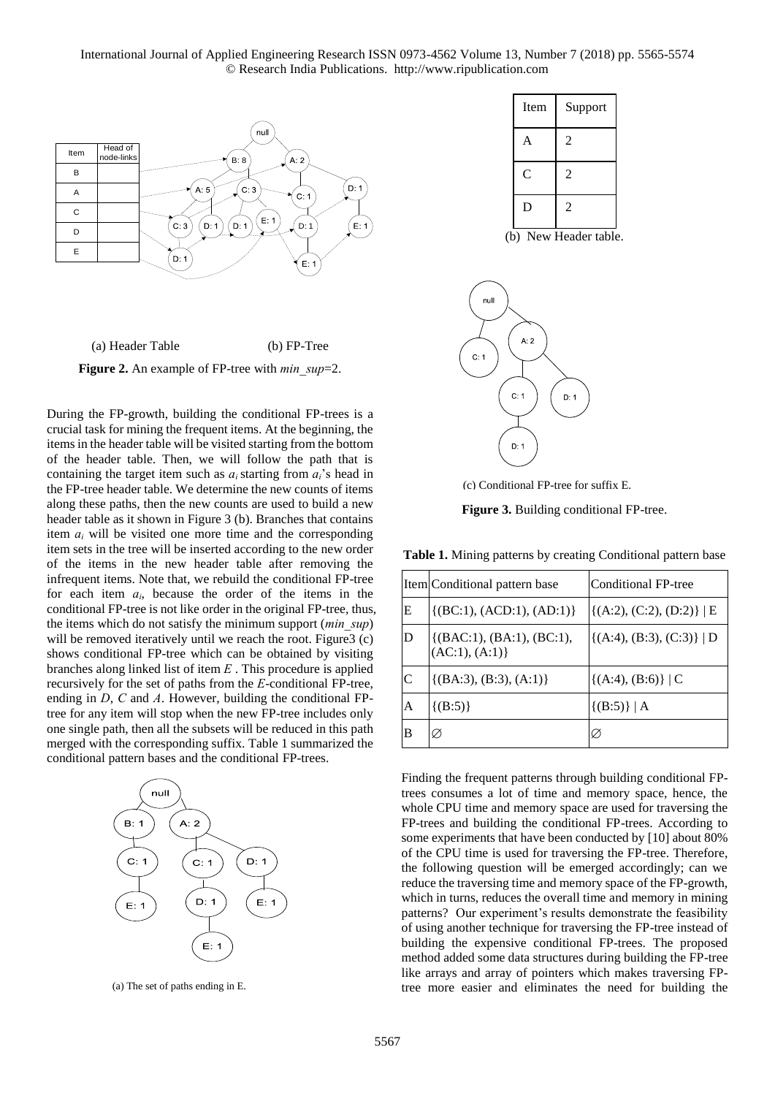International Journal of Applied Engineering Research ISSN 0973-4562 Volume 13, Number 7 (2018) pp. 5565-5574 © Research India Publications. http://www.ripublication.com





**Figure 2.** An example of FP-tree with *min\_sup*=2.

During the FP-growth, building the conditional FP-trees is a crucial task for mining the frequent items. At the beginning, the items in the header table will be visited starting from the bottom of the header table. Then, we will follow the path that is containing the target item such as  $a_i$  starting from  $a_i$ 's head in the FP-tree header table. We determine the new counts of items along these paths, then the new counts are used to build a new header table as it shown in Figure 3 (b). Branches that contains item  $a_i$  will be visited one more time and the corresponding item sets in the tree will be inserted according to the new order of the items in the new header table after removing the infrequent items. Note that, we rebuild the conditional FP-tree for each item *ai*, because the order of the items in the conditional FP-tree is not like order in the original FP-tree, thus, the items which do not satisfy the minimum support (*min\_sup*) will be removed iteratively until we reach the root. Figure 3 (c) shows conditional FP-tree which can be obtained by visiting branches along linked list of item *E* . This procedure is applied recursively for the set of paths from the *E*-conditional FP-tree, ending in *D*, *C* and *A*. However, building the conditional FPtree for any item will stop when the new FP-tree includes only one single path, then all the subsets will be reduced in this path merged with the corresponding suffix. Table 1 summarized the conditional pattern bases and the conditional FP-trees.



(a) The set of paths ending in E.

| Item           | Support        |
|----------------|----------------|
| A              | $\overline{c}$ |
| $\overline{C}$ | $\mathfrak{D}$ |
| D              | $\overline{c}$ |

(b) New Header table.



(c) Conditional FP-tree for suffix E.

**Figure 3.** Building conditional FP-tree.

**Table 1.** Mining patterns by creating Conditional pattern base

|   | Item Conditional pattern base                 | Conditional FP-tree             |
|---|-----------------------------------------------|---------------------------------|
| E | $\{(BC:1), (ACD:1), (AD:1)\}\$                | $\{(A:2), (C:2), (D:2)\}\, \,E$ |
| D | ( [ (BAC:1), (BA:1), (BC:1),<br>(AC:1), (A:1) | $\{(A:4), (B:3), (C:3)\}\, \,D$ |
| C | $\{(BA:3), (B:3), (A:1)\}\$                   | $\{(A:4), (B:6)\}\mid C$        |
| A | $\{(B:5)\}\$                                  | $\{(B:5)\}\, \,A$               |
| В | Ø                                             |                                 |

Finding the frequent patterns through building conditional FPtrees consumes a lot of time and memory space, hence, the whole CPU time and memory space are used for traversing the FP-trees and building the conditional FP-trees. According to some experiments that have been conducted by [10] about 80% of the CPU time is used for traversing the FP-tree. Therefore, the following question will be emerged accordingly; can we reduce the traversing time and memory space of the FP-growth, which in turns, reduces the overall time and memory in mining patterns? Our experiment's results demonstrate the feasibility of using another technique for traversing the FP-tree instead of building the expensive conditional FP-trees. The proposed method added some data structures during building the FP-tree like arrays and array of pointers which makes traversing FPtree more easier and eliminates the need for building the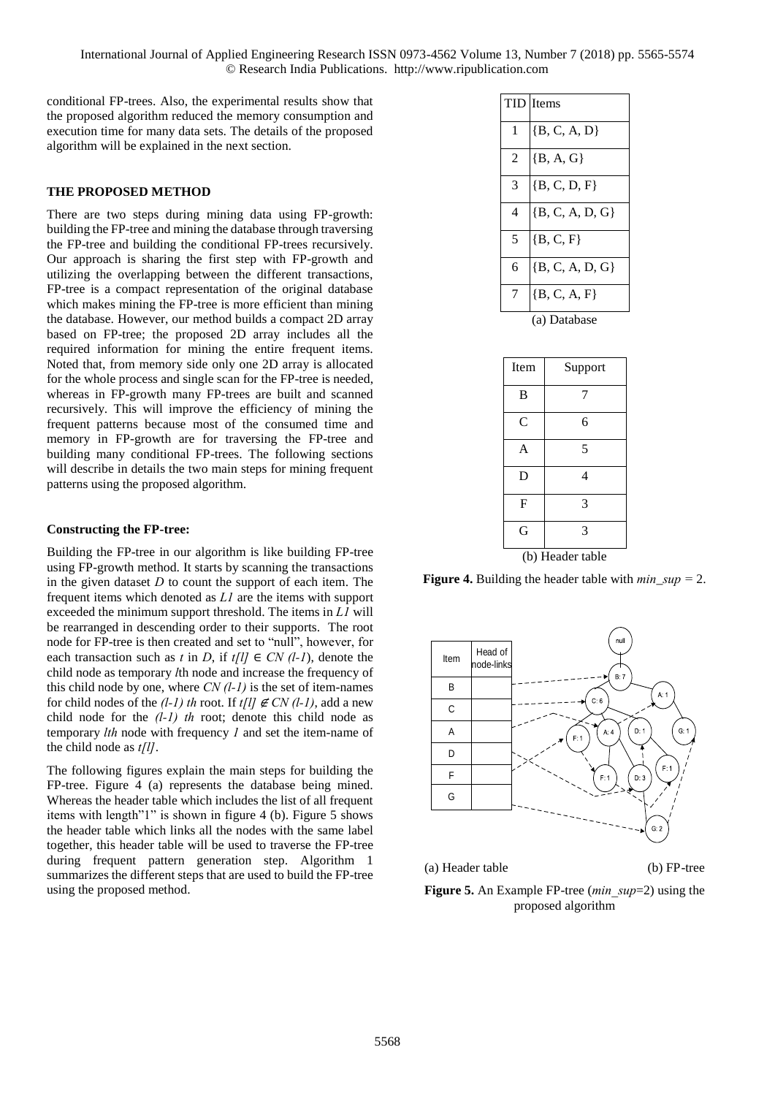conditional FP-trees. Also, the experimental results show that the proposed algorithm reduced the memory consumption and execution time for many data sets. The details of the proposed algorithm will be explained in the next section.

# **THE PROPOSED METHOD**

There are two steps during mining data using FP-growth: building the FP-tree and mining the database through traversing the FP-tree and building the conditional FP-trees recursively. Our approach is sharing the first step with FP-growth and utilizing the overlapping between the different transactions, FP-tree is a compact representation of the original database which makes mining the FP-tree is more efficient than mining the database. However, our method builds a compact 2D array based on FP-tree; the proposed 2D array includes all the required information for mining the entire frequent items. Noted that, from memory side only one 2D array is allocated for the whole process and single scan for the FP-tree is needed, whereas in FP-growth many FP-trees are built and scanned recursively. This will improve the efficiency of mining the frequent patterns because most of the consumed time and memory in FP-growth are for traversing the FP-tree and building many conditional FP-trees. The following sections will describe in details the two main steps for mining frequent patterns using the proposed algorithm.

#### **Constructing the FP-tree:**

Building the FP-tree in our algorithm is like building FP-tree using FP-growth method. It starts by scanning the transactions in the given dataset  $D$  to count the support of each item. The frequent items which denoted as *L1* are the items with support exceeded the minimum support threshold. The items in *L1* will be rearranged in descending order to their supports. The root node for FP-tree is then created and set to "null", however, for each transaction such as *t* in *D*, if  $t/l \in CN$  (*l-1*), denote the child node as temporary *l*th node and increase the frequency of this child node by one, where *CN (l-1)* is the set of item-names for child nodes of the  $(l-1)$  th root. If  $t[l] \notin CN (l-1)$ , add a new child node for the *(l-1) th* root; denote this child node as temporary *lth* node with frequency *1* and set the item-name of the child node as *t[l]*.

The following figures explain the main steps for building the FP-tree. Figure 4 (a) represents the database being mined. Whereas the header table which includes the list of all frequent items with length"1" is shown in figure 4 (b). Figure 5 shows the header table which links all the nodes with the same label together, this header table will be used to traverse the FP-tree during frequent pattern generation step. Algorithm 1 summarizes the different steps that are used to build the FP-tree using the proposed method.

|                | <b>TID</b> Items    |
|----------------|---------------------|
|                |                     |
| 1              | $\{B, C, A, D\}$    |
| $\overline{2}$ |                     |
|                | ${B, A, G}$         |
| 3              | $\{B, C, D, F\}$    |
|                |                     |
| 4              | $\{B, C, A, D, G\}$ |
| 5              | $\{B, C, F\}$       |
|                |                     |
| 6              | $\{B, C, A, D, G\}$ |
|                | $\{B, C, A, F\}$    |
|                |                     |
|                | (a) Database        |

| Item             | Support        |  |  |  |
|------------------|----------------|--|--|--|
| B                | 7              |  |  |  |
| C                | 6              |  |  |  |
| A                | 5              |  |  |  |
| D                | $\overline{4}$ |  |  |  |
| F                | 3              |  |  |  |
| G                | 3              |  |  |  |
| (b) Header table |                |  |  |  |

**Figure 4.** Building the header table with *min*\_*sup =* 2.



(a) Header table (b) FP-tree

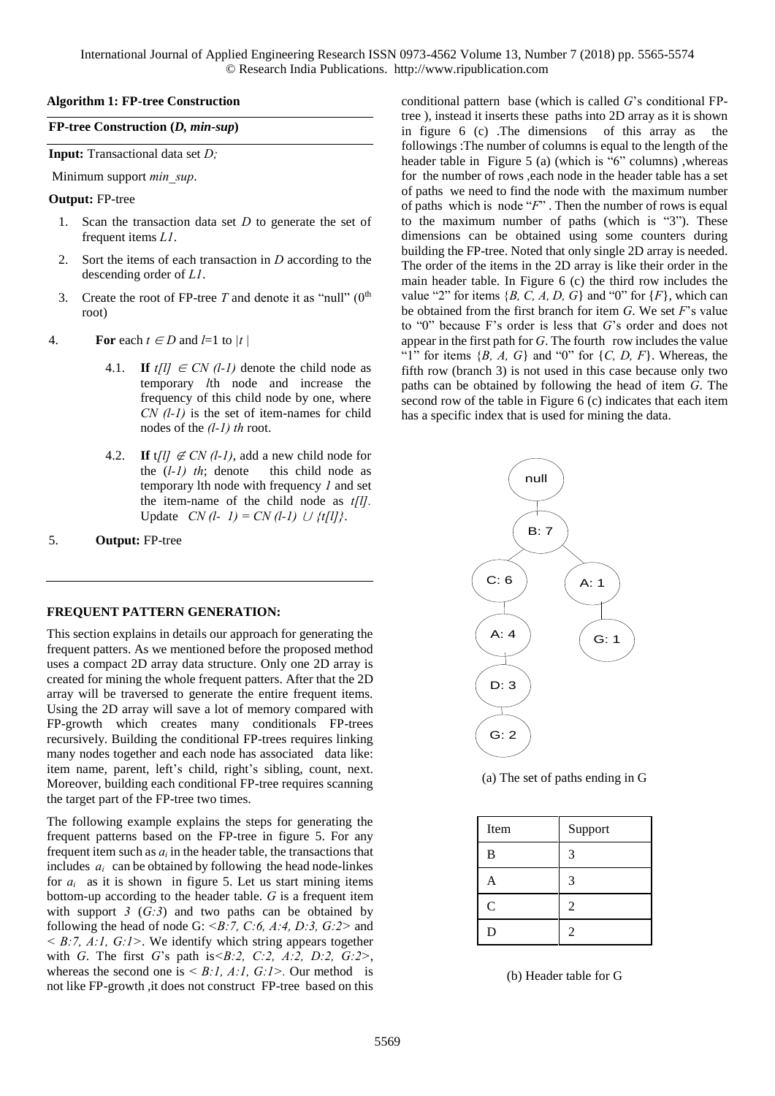#### **Algorithm 1: FP-tree Construction**

#### **FP-tree Construction (***D, min-sup***)**

**Input:** Transactional data set *D;*

Minimum support *min\_sup*.

#### **Output:** FP-tree

- 1. Scan the transaction data set *D* to generate the set of frequent items *L1*.
- 2. Sort the items of each transaction in *D* according to the descending order of *L1*.
- 3. Create the root of FP-tree  $T$  and denote it as "null" ( $0$ <sup>th</sup>) root)
- 4. **For** each  $t \in D$  and  $l=1$  to  $|t|$ 
	- 4.1. **If**  $t[1] \in CN$  (1-1) denote the child node as temporary *l*th node and increase the frequency of this child node by one, where *CN (l-1)* is the set of item-names for child nodes of the *(l-1) th* root.
	- 4.2. **If**  $t/l \notin CN (l-1)$ , add a new child node for the (*l-1) th*; denote this child node as temporary lth node with frequency *1* and set the item-name of the child node as *t[l].* Update *CN* (*l*- *l*) = *CN* (*l*-*l*) ∪ *{t[l]* }.
- 5. **Output:** FP-tree

# **FREQUENT PATTERN GENERATION:**

This section explains in details our approach for generating the frequent patters. As we mentioned before the proposed method uses a compact 2D array data structure. Only one 2D array is created for mining the whole frequent patters. After that the 2D array will be traversed to generate the entire frequent items. Using the 2D array will save a lot of memory compared with FP-growth which creates many conditionals FP-trees recursively. Building the conditional FP-trees requires linking many nodes together and each node has associated data like: item name, parent, left's child, right's sibling, count, next. Moreover, building each conditional FP-tree requires scanning the target part of the FP-tree two times.

The following example explains the steps for generating the frequent patterns based on the FP-tree in figure 5. For any frequent item such as  $a_i$  in the header table, the transactions that includes  $a_i$  can be obtained by following the head node-linkes for  $a_i$  as it is shown in figure 5. Let us start mining items bottom-up according to the header table. *G* is a frequent item with support  $3$  ( $\overline{(G:3)}$ ) and two paths can be obtained by following the head of node G: *<B:7, C:6, A:4, D:3, G:2>* and *< B:7, A:1, G:1>*. We identify which string appears together with *G*. The first *G*'s path is*<B:2, C:2, A:2, D:2, G:2>*, whereas the second one is  $\leq B$ :*l, A:l, G:l* $>$ . Our method is not like FP-growth ,it does not construct FP-tree based on this

conditional pattern base (which is called *G*'s conditional FPtree ), instead it inserts these paths into 2D array as it is shown in figure 6 (c) .The dimensions of this array as the followings :The number of columns is equal to the length of the header table in Figure 5 (a) (which is "6" columns), whereas for the number of rows ,each node in the header table has a set of paths we need to find the node with the maximum number of paths which is node "*F*" . Then the number of rows is equal to the maximum number of paths (which is "3"). These dimensions can be obtained using some counters during building the FP-tree. Noted that only single 2D array is needed. The order of the items in the 2D array is like their order in the main header table. In Figure 6 (c) the third row includes the value "2" for items  ${B, C, A, D, G}$  and "0" for  ${F}$ , which can be obtained from the first branch for item *G*. We set *F*'s value to "0" because F's order is less that *G*'s order and does not appear in the first path for *G*. The fourth row includes the value "1" for items  $\{B, A, G\}$  and "0" for  $\{C, D, F\}$ . Whereas, the fifth row (branch 3) is not used in this case because only two paths can be obtained by following the head of item *G*. The second row of the table in Figure 6 (c) indicates that each item has a specific index that is used for mining the data.



(a) The set of paths ending in G

| Item          | Support        |
|---------------|----------------|
| B             | 3              |
| A             | 3              |
| $\mathcal{C}$ | 2              |
| D             | $\overline{2}$ |

#### (b) Header table for G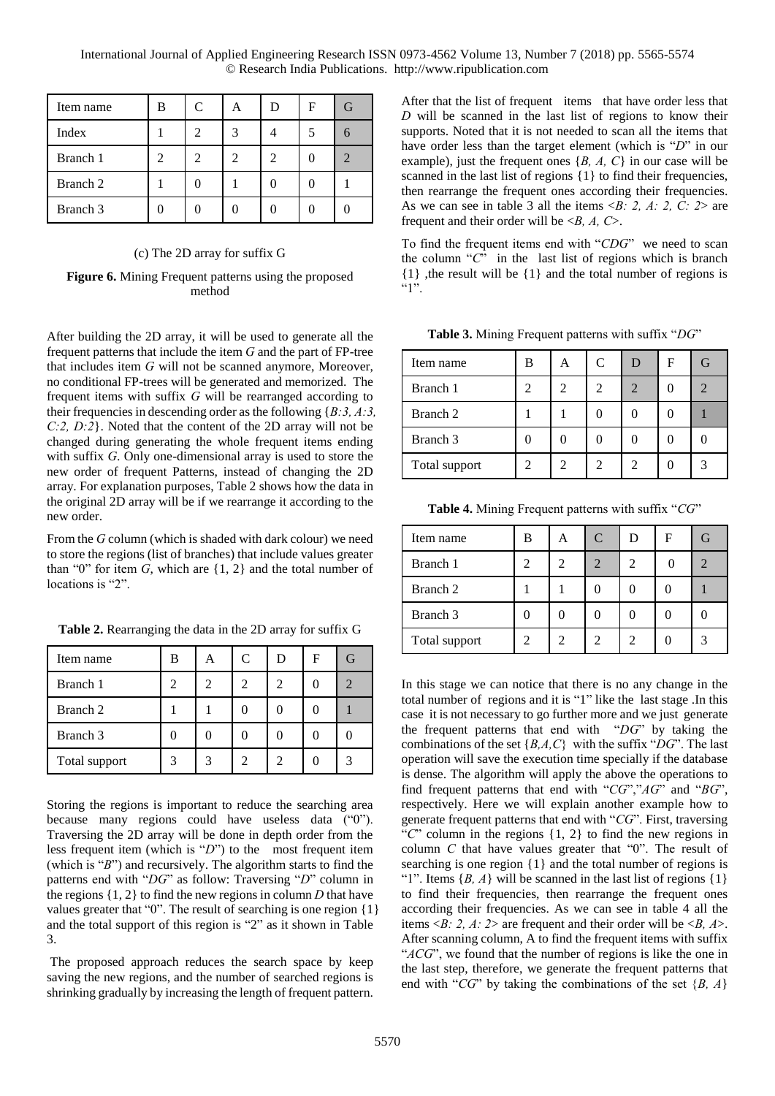International Journal of Applied Engineering Research ISSN 0973-4562 Volume 13, Number 7 (2018) pp. 5565-5574 © Research India Publications. http://www.ripublication.com

| Item name | В | C | A | F |  |
|-----------|---|---|---|---|--|
| Index     |   |   |   |   |  |
| Branch 1  |   | ာ |   |   |  |
| Branch 2  |   |   |   |   |  |
| Branch 3  |   |   |   |   |  |

#### (c) The 2D array for suffix G

**Figure 6.** Mining Frequent patterns using the proposed method

After building the 2D array, it will be used to generate all the frequent patterns that include the item *G* and the part of FP-tree that includes item *G* will not be scanned anymore, Moreover, no conditional FP-trees will be generated and memorized. The frequent items with suffix *G* will be rearranged according to their frequencies in descending order as the following {*B:3, A:3, C:2, D:2*}. Noted that the content of the 2D array will not be changed during generating the whole frequent items ending with suffix *G*. Only one-dimensional array is used to store the new order of frequent Patterns, instead of changing the 2D array. For explanation purposes, Table 2 shows how the data in the original 2D array will be if we rearrange it according to the new order.

From the *G* column (which is shaded with dark colour) we need to store the regions (list of branches) that include values greater than " $0$ " for item *G*, which are  $\{1, 2\}$  and the total number of locations is "2".

| Table 2. Rearranging the data in the 2D array for suffix G |  |  |
|------------------------------------------------------------|--|--|
|                                                            |  |  |

| Item name     | в | A | $\mathcal{C}$ | D                           | F | (ì |
|---------------|---|---|---------------|-----------------------------|---|----|
| Branch 1      |   |   | 2             | 2                           |   |    |
| Branch 2      |   |   |               |                             |   |    |
| Branch 3      |   |   |               |                             |   |    |
| Total support |   |   | 2             | $\mathcal{D}_{\mathcal{L}}$ |   |    |

Storing the regions is important to reduce the searching area because many regions could have useless data ("0"). Traversing the 2D array will be done in depth order from the less frequent item (which is "*D*") to the most frequent item (which is "*B*") and recursively. The algorithm starts to find the patterns end with "*DG*" as follow: Traversing "*D*" column in the regions  $\{1, 2\}$  to find the new regions in column *D* that have values greater that "0". The result of searching is one region {1} and the total support of this region is "2" as it shown in Table 3.

 The proposed approach reduces the search space by keep saving the new regions, and the number of searched regions is shrinking gradually by increasing the length of frequent pattern.

After that the list of frequent items that have order less that *D* will be scanned in the last list of regions to know their supports. Noted that it is not needed to scan all the items that have order less than the target element (which is "*D*" in our example), just the frequent ones {*B, A, C*} in our case will be scanned in the last list of regions {1} to find their frequencies, then rearrange the frequent ones according their frequencies. As we can see in table 3 all the items  $\langle B: 2, A: 2, C: 2 \rangle$  are frequent and their order will be <*B, A, C*>.

To find the frequent items end with "*CDG*" we need to scan the column "*C*" in the last list of regions which is branch {1} ,the result will be {1} and the total number of regions is  $"$ <sup>1</sup>".

**Table 3.** Mining Frequent patterns with suffix "*DG*"

| Item name     | В | C | F |  |
|---------------|---|---|---|--|
| Branch 1      |   |   |   |  |
| Branch 2      |   |   |   |  |
| Branch 3      |   |   |   |  |
| Total support |   |   |   |  |

**Table 4.** Mining Frequent patterns with suffix "*CG*"

| Item name     | в | А                           | $\mathcal{C}$ | Ð | F | G |
|---------------|---|-----------------------------|---------------|---|---|---|
| Branch 1      | 2 | $\mathcal{D}_{\mathcal{A}}$ |               | 2 |   |   |
| Branch 2      |   |                             |               |   |   |   |
| Branch 3      |   |                             |               |   |   |   |
| Total support |   |                             |               |   |   |   |

In this stage we can notice that there is no any change in the total number of regions and it is "1" like the last stage .In this case it is not necessary to go further more and we just generate the frequent patterns that end with "*DG*" by taking the combinations of the set {*B,A,C*} with the suffix "*DG*". The last operation will save the execution time specially if the database is dense. The algorithm will apply the above the operations to find frequent patterns that end with "*CG*","*AG*" and "*BG*", respectively. Here we will explain another example how to generate frequent patterns that end with "*CG*". First, traversing "*C*" column in the regions {1, 2} to find the new regions in column *C* that have values greater that "0". The result of searching is one region {1} and the total number of regions is "1". Items  $\{B, A\}$  will be scanned in the last list of regions  $\{1\}$ to find their frequencies, then rearrange the frequent ones according their frequencies. As we can see in table 4 all the items <*B: 2, A: 2*> are frequent and their order will be <*B, A*>. After scanning column, A to find the frequent items with suffix "*ACG*", we found that the number of regions is like the one in the last step, therefore, we generate the frequent patterns that end with "*CG*" by taking the combinations of the set {*B, A*}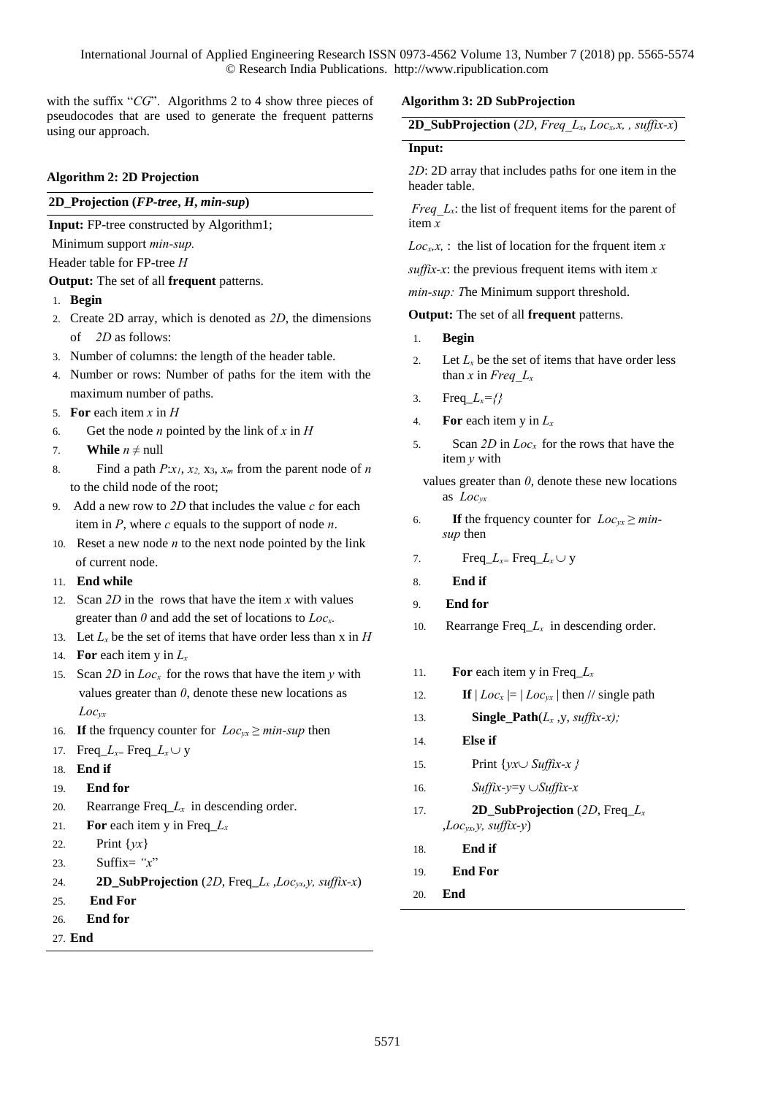with the suffix "*CG*". Algorithms 2 to 4 show three pieces of pseudocodes that are used to generate the frequent patterns using our approach.

## **Algorithm 2: 2D Projection**

# **2D\_Projection (***FP-tree***,** *H***,** *min-sup***)**

**Input:** FP-tree constructed by Algorithm1;

Minimum support *min-sup.*

Header table for FP-tree *H*

# **Output:** The set of all **frequent** patterns.

- 1. **Begin**
- 2. Create 2D array, which is denoted as *2D*, the dimensions of *2D* as follows:
- 3. Number of columns: the length of the header table.
- 4. Number or rows: Number of paths for the item with the maximum number of paths.
- 5. **For** each item *x* in *H*
- 6. Get the node *n* pointed by the link of *x* in *H*
- 7. **While**  $n \neq \text{null}$
- 8. Find a path  $P: x_1, x_2, x_3, x_m$  from the parent node of *n* to the child node of the root;
- 9. Add a new row to *2D* that includes the value *c* for each item in *P*, where *c* equals to the support of node *n*.
- 10. Reset a new node *n* to the next node pointed by the link of current node.
- 11. **End while**
- 12.Scan *2D* in the rows that have the item *x* with values greater than *0* and add the set of locations to *Locx.*
- 13. Let  $L<sub>x</sub>$  be the set of items that have order less than x in *H* 14. **For** each item y in  $L_x$
- 15.Scan *2D* in *Locx* for the rows that have the item *y* with values greater than *0*, denote these new locations as  *Locyx*
- 16. If the frquency counter for  $Loc_{yx} \geq min\text{-}sup$  then
- 17. **Freq**<sub>*Lx*= **Freq**<sub>*Lx*</sub> $\cup$ **y**</sub>
- 18. **End if**
- 19. **End for**
- 20. **Rearrange Freq**  $L_x$  in descending order.
- 21. **For** each item y in Freq  $L_x$
- 22.Print {*yx*}
- 23.Suffix= *"x*"
- 24. **2D\_SubProjection** (*2D*, Freq\_*L<sup>x</sup>* ,*Locyx,y, suffix-x*)
- 25. **End For**
- 26. **End for**
- 27. **End**

# **Algorithm 3: 2D SubProjection**

| <b>2D_SubProjection</b> (2D, Freq $L_x$ , Loc <sub>x</sub> , x, , suffix-x) |  |  |  |  |  |  |
|-----------------------------------------------------------------------------|--|--|--|--|--|--|
|-----------------------------------------------------------------------------|--|--|--|--|--|--|

## **Input:**

*2D*: 2D array that includes paths for one item in the header table.

*Freq L<sub>x</sub>*: the list of frequent items for the parent of item *x*

 $Loc<sub>x</sub>, x$ , : the list of location for the frquent item  $x$ 

*suffix-x*: the previous frequent items with item *x*

*min-sup: T*he Minimum support threshold.

**Output:** The set of all **frequent** patterns.

- 1. **Begin**
- 2. Let  $L<sub>x</sub>$  be the set of items that have order less than *x* in *Freq*  $L_x$
- 3. Freq\_*Lx={}*
- 4. **For** each item y in  $L_x$
- 5. Scan *2D* in *Locx* for the rows that have the item *y* with
- values greater than *0*, denote these new locations as *Locyx*
- 6. **If** the frauency counter for  $Loc_{yx} \geq min$ *sup* then
- 7. Freq<sub>\_</sub> $L_{x=}$  Freq<sub>\_</sub> $L_{x}$   $\cup$  y
- 8. **End if**
- 9. **End for**
- 10. Rearrange Freq\_*Lx* in descending order.
- 11. **For** each item y in Freq<sub> $\text{L}_x$ </sub>
- 12. **If**  $|Loc_x| = |Loc_{vx}|$  then // single path
- 13. **Single\_Path**(*L<sup>x</sup>* ,y, *suffix-x);*
- 14. **Else if**
- 15. Print  $\{yx \cup Suffix-x\}$
- 16. *Suffix-y*=y *Suffix-x*
- 17. **2D** SubProjection  $(2D, \text{Freq } L_x)$  $, Loc_{vx}y, \textit{suffix-y}$
- 18. **End if**
- 19. **End For**
- 20. **End**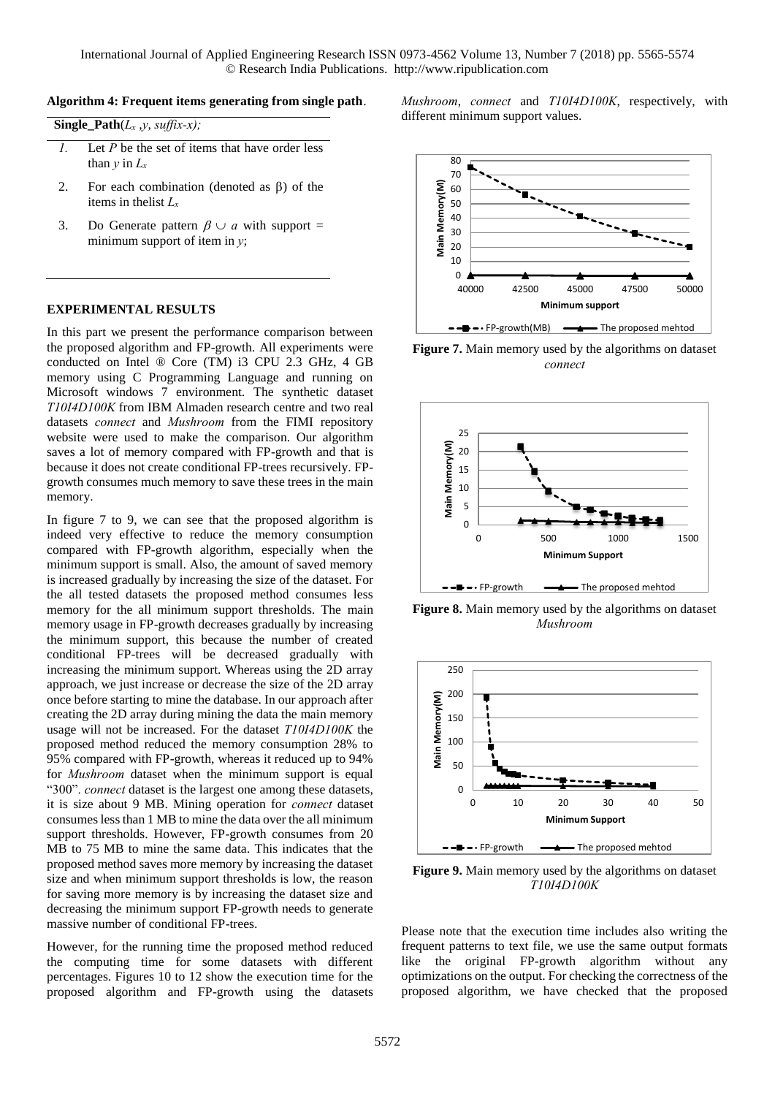#### **Algorithm 4: Frequent items generating from single path**.

|  |  |  | <b>Single_Path</b> $(L_x, y, \text{suffix-x}).$ |
|--|--|--|-------------------------------------------------|
|--|--|--|-------------------------------------------------|

- *1.* Let *P* be the set of items that have order less than  $y$  in  $L_x$
- 2. For each combination (denoted as  $\beta$ ) of the items in thelist *L<sup>x</sup>*
- 3. Do Generate pattern  $\beta \cup a$  with support = minimum support of item in *y*;

#### **EXPERIMENTAL RESULTS**

In this part we present the performance comparison between the proposed algorithm and FP-growth. All experiments were conducted on Intel ® Core (TM) i3 CPU 2.3 GHz, 4 GB memory using C Programming Language and running on Microsoft windows 7 environment. The synthetic dataset *T10I4D100K* from IBM Almaden research centre and two real datasets *connect* and *Mushroom* from the FIMI repository website were used to make the comparison. Our algorithm saves a lot of memory compared with FP-growth and that is because it does not create conditional FP-trees recursively. FPgrowth consumes much memory to save these trees in the main memory.

In figure 7 to 9, we can see that the proposed algorithm is indeed very effective to reduce the memory consumption compared with FP-growth algorithm, especially when the minimum support is small. Also, the amount of saved memory is increased gradually by increasing the size of the dataset. For the all tested datasets the proposed method consumes less memory for the all minimum support thresholds. The main memory usage in FP-growth decreases gradually by increasing the minimum support, this because the number of created conditional FP-trees will be decreased gradually with increasing the minimum support. Whereas using the 2D array approach, we just increase or decrease the size of the 2D array once before starting to mine the database. In our approach after creating the 2D array during mining the data the main memory usage will not be increased. For the dataset *T10I4D100K* the proposed method reduced the memory consumption 28% to 95% compared with FP-growth, whereas it reduced up to 94% for *Mushroom* dataset when the minimum support is equal "300". *connect* dataset is the largest one among these datasets, it is size about 9 MB. Mining operation for *connect* dataset consumes less than 1 MB to mine the data over the all minimum support thresholds. However, FP-growth consumes from 20 MB to 75 MB to mine the same data. This indicates that the proposed method saves more memory by increasing the dataset size and when minimum support thresholds is low, the reason for saving more memory is by increasing the dataset size and decreasing the minimum support FP-growth needs to generate massive number of conditional FP-trees.

However, for the running time the proposed method reduced the computing time for some datasets with different percentages. Figures 10 to 12 show the execution time for the proposed algorithm and FP-growth using the datasets *Mushroom*, *connect* and *T10I4D100K*, respectively, with different minimum support values.



**Figure 7.** Main memory used by the algorithms on dataset *connect*



**Figure 8.** Main memory used by the algorithms on dataset *Mushroom*



**Figure 9.** Main memory used by the algorithms on dataset *T10I4D100K*

Please note that the execution time includes also writing the frequent patterns to text file, we use the same output formats like the original FP-growth algorithm without any optimizations on the output. For checking the correctness of the proposed algorithm, we have checked that the proposed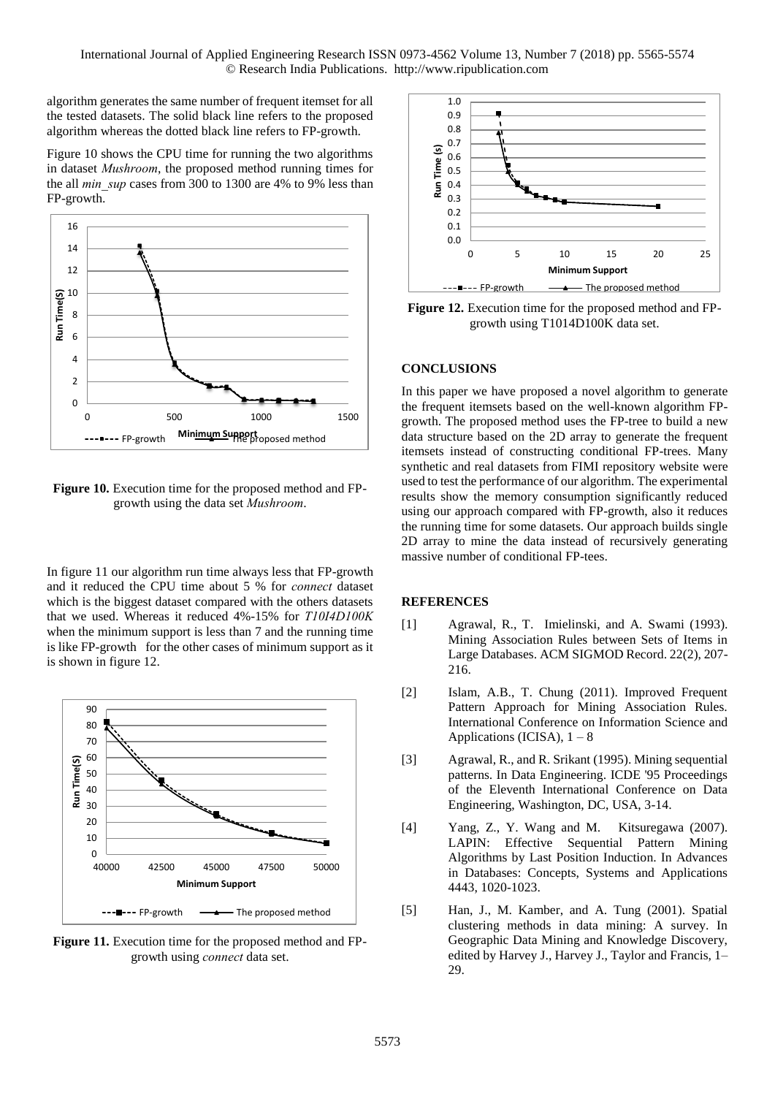algorithm generates the same number of frequent itemset for all the tested datasets. The solid black line refers to the proposed algorithm whereas the dotted black line refers to FP-growth.

Figure 10 shows the CPU time for running the two algorithms in dataset *Mushroom*, the proposed method running times for the all *min* sup cases from 300 to 1300 are 4% to 9% less than FP-growth.



Figure 10. Execution time for the proposed method and FPgrowth using the data set *Mushroom*.

In figure 11 our algorithm run time always less that FP-growth and it reduced the CPU time about 5 % for *connect* dataset which is the biggest dataset compared with the others datasets that we used. Whereas it reduced 4%-15% for *T10I4D100K* when the minimum support is less than 7 and the running time is like FP-growth for the other cases of minimum support as it is shown in figure 12.



**Figure 11.** Execution time for the proposed method and FPgrowth using *connect* data set.



**Figure 12.** Execution time for the proposed method and FPgrowth using T1014D100K data set.

## **CONCLUSIONS**

In this paper we have proposed a novel algorithm to generate the frequent itemsets based on the well-known algorithm FPgrowth. The proposed method uses the FP-tree to build a new data structure based on the 2D array to generate the frequent itemsets instead of constructing conditional FP-trees. Many synthetic and real datasets from FIMI repository website were used to test the performance of our algorithm. The experimental results show the memory consumption significantly reduced using our approach compared with FP-growth, also it reduces the running time for some datasets. Our approach builds single 2D array to mine the data instead of recursively generating massive number of conditional FP-tees.

## **REFERENCES**

- [1] Agrawal, R., T. Imielinski, and A. Swami (1993). Mining Association Rules between Sets of Items in Large Databases. ACM SIGMOD Record. 22(2), 207- 216.
- [2] Islam, A.B., T. Chung (2011). Improved Frequent Pattern Approach for Mining Association Rules. International Conference on Information Science and Applications (ICISA),  $1 - 8$
- [3] Agrawal, R., and R. Srikant (1995). Mining sequential patterns. In Data Engineering. ICDE '95 Proceedings of the Eleventh International Conference on Data Engineering, Washington, DC, USA, 3-14.
- [4] Yang, Z., Y. Wang and M. Kitsuregawa (2007). LAPIN: Effective Sequential Pattern Mining Algorithms by Last Position Induction. In Advances in Databases: Concepts, Systems and Applications 4443, 1020-1023.
- [5] Han, J., M. Kamber, and A. Tung (2001). Spatial clustering methods in data mining: A survey. In Geographic Data Mining and Knowledge Discovery, edited by Harvey J., Harvey J., Taylor and Francis, 1– 29.